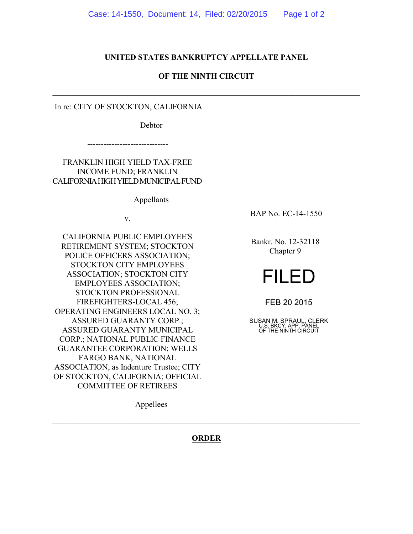## **UNITED STATES BANKRUPTCY APPELLATE PANEL**

## **OF THE NINTH CIRCUIT**

\_\_\_\_\_\_\_\_\_\_\_\_\_\_\_\_\_\_\_\_\_\_\_\_\_\_\_\_\_\_\_\_\_\_\_\_\_\_\_\_\_\_\_\_\_\_\_\_\_\_\_\_\_\_\_\_\_\_\_\_\_\_\_\_\_\_\_\_\_\_\_\_\_\_\_\_

In re: CITY OF STOCKTON, CALIFORNIA

Debtor

------------------------------

FRANKLIN HIGH YIELD TAX-FREE INCOME FUND; FRANKLIN CALIFORNIA HIGH YIELD MUNICIPAL FUND

Appellants

v.

CALIFORNIA PUBLIC EMPLOYEE'S RETIREMENT SYSTEM; STOCKTON POLICE OFFICERS ASSOCIATION; STOCKTON CITY EMPLOYEES ASSOCIATION; STOCKTON CITY EMPLOYEES ASSOCIATION; STOCKTON PROFESSIONAL FIREFIGHTERS-LOCAL 456; OPERATING ENGINEERS LOCAL NO. 3; ASSURED GUARANTY CORP.; ASSURED GUARANTY MUNICIPAL CORP.; NATIONAL PUBLIC FINANCE GUARANTEE CORPORATION; WELLS FARGO BANK, NATIONAL ASSOCIATION, as Indenture Trustee; CITY OF STOCKTON, CALIFORNIA; OFFICIAL COMMITTEE OF RETIREES

BAP No. EC-14-1550

Bankr. No. 12-32118 Chapter 9

## FILED

FEB 20 2015

SUSAN M. SPRAUL, CLERK U.S. BKCY. APP. PANEL OF THE NINTH CIRCUIT

Appellees

**ORDER**

\_\_\_\_\_\_\_\_\_\_\_\_\_\_\_\_\_\_\_\_\_\_\_\_\_\_\_\_\_\_\_\_\_\_\_\_\_\_\_\_\_\_\_\_\_\_\_\_\_\_\_\_\_\_\_\_\_\_\_\_\_\_\_\_\_\_\_\_\_\_\_\_\_\_\_\_